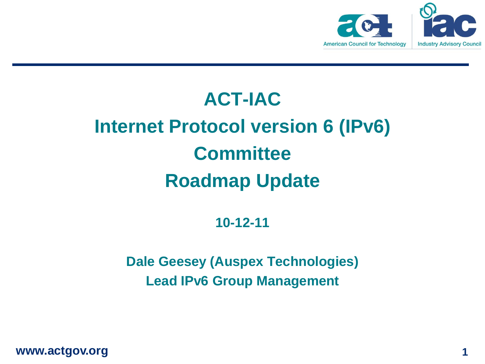

# **ACT-IAC Internet Protocol version 6 (IPv6) Committee Roadmap Update**

**10-12-11**

**Dale Geesey (Auspex Technologies) Lead IPv6 Group Management**

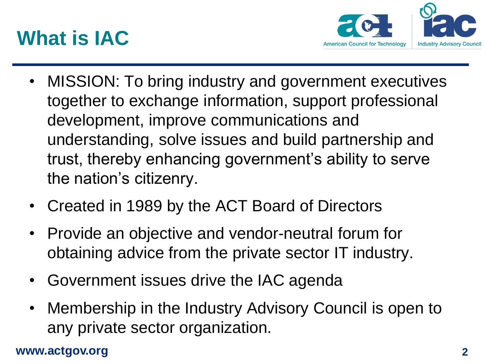



- MISSION: To bring industry and government executives together to exchange information, support professional development, improve communications and understanding, solve issues and build partnership and trust, thereby enhancing government's ability to serve the nation's citizenry.
- Created in 1989 by the ACT Board of Directors
- Provide an objective and vendor-neutral forum for obtaining advice from the private sector IT industry.
- Government issues drive the IAC agenda
- Membership in the Industry Advisory Council is open to any private sector organization.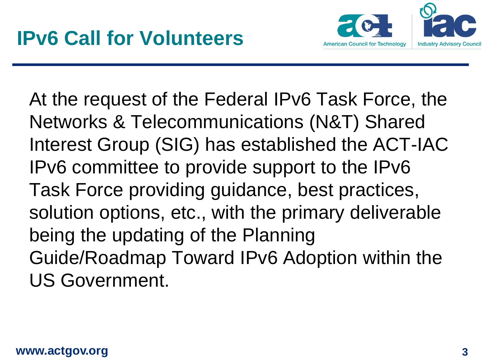

At the request of the Federal IPv6 Task Force, the Networks & Telecommunications (N&T) Shared Interest Group (SIG) has established the ACT-IAC IPv6 committee to provide support to the IPv6 Task Force providing guidance, best practices, solution options, etc., with the primary deliverable being the updating of the Planning Guide/Roadmap Toward IPv6 Adoption within the US Government.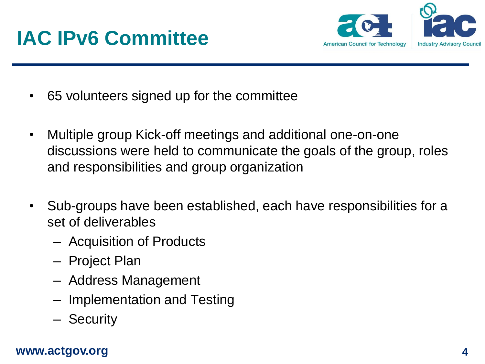

- 65 volunteers signed up for the committee
- Multiple group Kick-off meetings and additional one-on-one discussions were held to communicate the goals of the group, roles and responsibilities and group organization
- Sub-groups have been established, each have responsibilities for a set of deliverables
	- Acquisition of Products
	- Project Plan
	- Address Management
	- Implementation and Testing
	- Security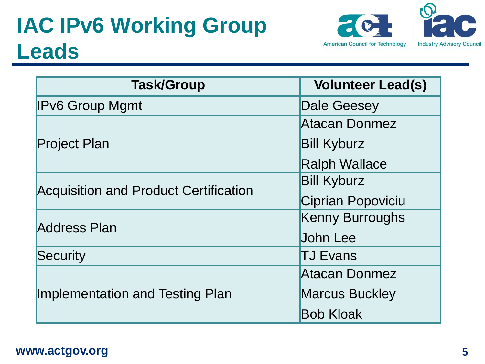# **IAC IPv6 Working Group Leads**



| <b>Task/Group</b>                            | <b>Volunteer Lead(s)</b> |
|----------------------------------------------|--------------------------|
| <b>IPv6 Group Mgmt</b>                       | <b>Dale Geesey</b>       |
|                                              | <b>Atacan Donmez</b>     |
| <b>Project Plan</b>                          | <b>Bill Kyburz</b>       |
|                                              | <b>Ralph Wallace</b>     |
| <b>Acquisition and Product Certification</b> | <b>Bill Kyburz</b>       |
|                                              | Ciprian Popoviciu        |
| <b>Address Plan</b>                          | Kenny Burroughs          |
|                                              | <b>John Lee</b>          |
| Security                                     | <b>TJ Evans</b>          |
|                                              | <b>Atacan Donmez</b>     |
| <b>Implementation and Testing Plan</b>       | <b>Marcus Buckley</b>    |
|                                              | <b>Bob Kloak</b>         |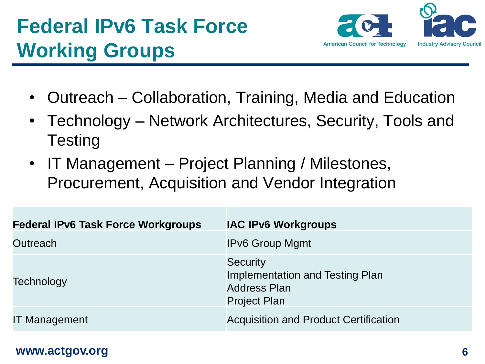# **Federal IPv6 Task Force Working Groups**



- Outreach Collaboration, Training, Media and Education
- Technology Network Architectures, Security, Tools and Testing
- IT Management Project Planning / Milestones, Procurement, Acquisition and Vendor Integration

| <b>Federal IPv6 Task Force Workgroups</b> | <b>IAC IPv6 Workgroups</b>                                                                              |
|-------------------------------------------|---------------------------------------------------------------------------------------------------------|
| Outreach                                  | <b>IPv6 Group Mgmt</b>                                                                                  |
| Technology                                | <b>Security</b><br><b>Implementation and Testing Plan</b><br><b>Address Plan</b><br><b>Project Plan</b> |
| <b>IT Management</b>                      | <b>Acquisition and Product Certification</b>                                                            |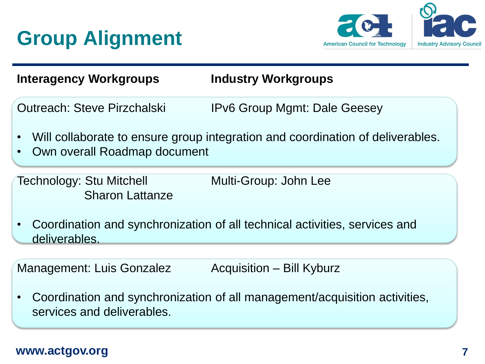# **Group Alignment**



**Interagency Workgroups Industry Workgroups**

Outreach: Steve Pirzchalski IPv6 Group Mgmt: Dale Geesey

- Will collaborate to ensure group integration and coordination of deliverables.
- Own overall Roadmap document

Technology: Stu Mitchell **Multi-Group: John Lee** Sharon Lattanze

• Coordination and synchronization of all technical activities, services and deliverables.

Management: Luis Gonzalez Acquisition – Bill Kyburz

• Coordination and synchronization of all management/acquisition activities, services and deliverables.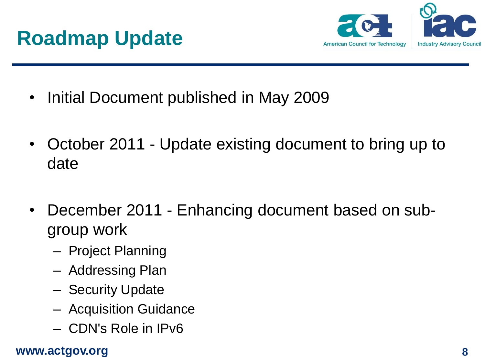

- Initial Document published in May 2009
- October 2011 Update existing document to bring up to date
- December 2011 Enhancing document based on subgroup work
	- Project Planning
	- Addressing Plan
	- Security Update
	- Acquisition Guidance
	- CDN's Role in IPv6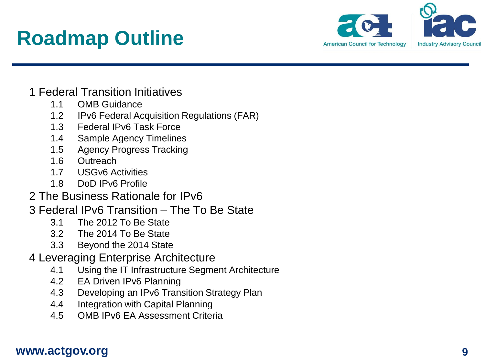# **Roadmap Outline**



### 1 Federal Transition Initiatives

- 1.1 OMB Guidance
- 1.2 IPv6 Federal Acquisition Regulations (FAR)
- 1.3 Federal IPv6 Task Force
- 1.4 Sample Agency Timelines
- 1.5 Agency Progress Tracking
- 1.6 Outreach
- 1.7 USGv6 Activities
- 1.8 DoD IPv6 Profile
- 2 The Business Rationale for IPv6
- 3 Federal IPv6 Transition The To Be State
	- 3.1 The 2012 To Be State
	- 3.2 The 2014 To Be State
	- 3.3 Beyond the 2014 State
- 4 Leveraging Enterprise Architecture
	- 4.1 Using the IT Infrastructure Segment Architecture
	- 4.2 EA Driven IPv6 Planning
	- 4.3 Developing an IPv6 Transition Strategy Plan
	- 4.4 Integration with Capital Planning
	- 4.5 OMB IPv6 EA Assessment Criteria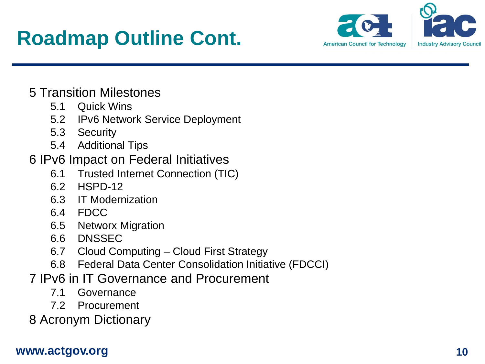# **Roadmap Outline Cont.**



### 5 Transition Milestones

- 5.1 Quick Wins
- 5.2 IPv6 Network Service Deployment
- 5.3 Security
- 5.4 Additional Tips
- 6 IPv6 Impact on Federal Initiatives
	- 6.1 Trusted Internet Connection (TIC)
	- 6.2 HSPD-12
	- 6.3 IT Modernization
	- 6.4 FDCC
	- 6.5 Networx Migration
	- 6.6 DNSSEC
	- 6.7 Cloud Computing Cloud First Strategy
	- 6.8 Federal Data Center Consolidation Initiative (FDCCI)
- 7 IPv6 in IT Governance and Procurement
	- 7.1 Governance
	- 7.2 Procurement
- 8 Acronym Dictionary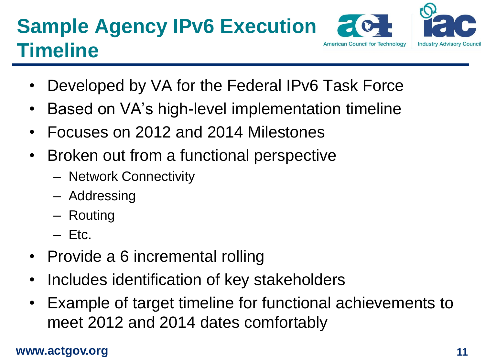#### **Sample Agency IPv6 Execution American Council for Technology Industry Advisor Timeline**

- Developed by VA for the Federal IPv6 Task Force
- Based on VA's high-level implementation timeline
- Focuses on 2012 and 2014 Milestones
- Broken out from a functional perspective
	- Network Connectivity
	- Addressing
	- Routing
	- $-$  Etc.
- Provide a 6 incremental rolling
- Includes identification of key stakeholders
- Example of target timeline for functional achievements to meet 2012 and 2014 dates comfortably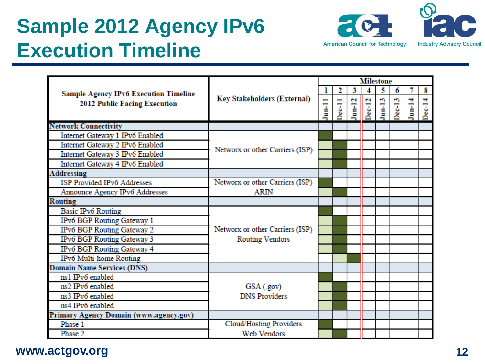### **Sample 2012 Agency IPv6 Execution Timeline**



|                                              |                                    | <b>Milestone</b>   |          |         |          |                |          |               |          |  |  |
|----------------------------------------------|------------------------------------|--------------------|----------|---------|----------|----------------|----------|---------------|----------|--|--|
| <b>Sample Agency IPv6 Execution Timeline</b> |                                    |                    |          | 3       |          | 5              |          |               | 8        |  |  |
| <b>2012 Public Facing Execution</b>          | <b>Key Stakeholders (External)</b> |                    | $Dec-11$ | $um-12$ |          | $\frac{13}{2}$ |          | $\frac{4}{5}$ |          |  |  |
|                                              |                                    | $_{\text{Jun-11}}$ |          |         | $Dec-12$ |                | $Dec-13$ |               | $Dec-14$ |  |  |
| <b>Network Connectivity</b>                  |                                    |                    |          |         |          |                |          |               |          |  |  |
| Internet Gateway 1 IPv6 Enabled              |                                    |                    |          |         |          |                |          |               |          |  |  |
| Internet Gateway 2 IPv6 Enabled              |                                    |                    |          |         |          |                |          |               |          |  |  |
| Internet Gateway 3 IPv6 Enabled              | Networx or other Carriers (ISP)    |                    |          |         |          |                |          |               |          |  |  |
| Internet Gateway 4 IPv6 Enabled              |                                    |                    |          |         |          |                |          |               |          |  |  |
| <b>Addressing</b>                            |                                    |                    |          |         |          |                |          |               |          |  |  |
| ISP Provided IPv6 Addresses                  | Networx or other Carriers (ISP)    |                    |          |         |          |                |          |               |          |  |  |
| Announce Agency IPv6 Addresses               | <b>ARIN</b>                        |                    |          |         |          |                |          |               |          |  |  |
| <b>Routing</b>                               |                                    |                    |          |         |          |                |          |               |          |  |  |
| <b>Basic IPv6 Routing</b>                    |                                    |                    |          |         |          |                |          |               |          |  |  |
| IPv6 BGP Routing Gateway 1                   |                                    |                    |          |         |          |                |          |               |          |  |  |
| IPv6 BGP Routing Gateway 2                   | Networx or other Carriers (ISP)    |                    |          |         |          |                |          |               |          |  |  |
| IPv6 BGP Routing Gateway 3                   | <b>Routing Vendors</b>             |                    |          |         |          |                |          |               |          |  |  |
| IPv6 BGP Routing Gateway 4                   |                                    |                    |          |         |          |                |          |               |          |  |  |
| IPv6 Multi-home Routing                      |                                    |                    |          |         |          |                |          |               |          |  |  |
| <b>Domain Name Services (DNS)</b>            |                                    |                    |          |         |          |                |          |               |          |  |  |
| ns1 IPv6 enabled                             |                                    |                    |          |         |          |                |          |               |          |  |  |
| ns2 IPv6 enabled                             | GSA (.gov)                         |                    |          |         |          |                |          |               |          |  |  |
| ns3 IPv6 enabled                             | <b>DNS Providers</b>               |                    |          |         |          |                |          |               |          |  |  |
| ns4 IPv6 enabled                             |                                    |                    |          |         |          |                |          |               |          |  |  |
| Primary Agency Domain (www.agency.gov)       |                                    |                    |          |         |          |                |          |               |          |  |  |
| Phase 1                                      | Cloud/Hosting Providers            |                    |          |         |          |                |          |               |          |  |  |
| Phase 2                                      | <b>Web Vendors</b>                 |                    |          |         |          |                |          |               |          |  |  |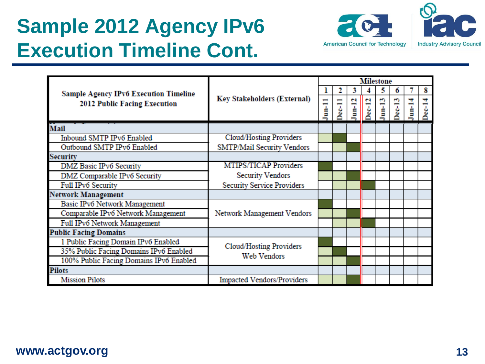## **Sample 2012 Agency IPv6 Execution Timeline Cont.**



|                                              |                                               | <b>Milestone</b> |          |         |          |        |          |        |          |  |  |
|----------------------------------------------|-----------------------------------------------|------------------|----------|---------|----------|--------|----------|--------|----------|--|--|
| <b>Sample Agency IPv6 Execution Timeline</b> |                                               |                  |          | 3       |          | 5      | o        |        | 8        |  |  |
| <b>2012 Public Facing Execution</b>          | <b>Key Stakeholders (External)</b>            | $\frac{11}{5}$   | $vec-11$ | $um-12$ | $Dec-12$ | $m-13$ | ec $-13$ | $m-14$ | $bec-14$ |  |  |
| Mail                                         |                                               |                  |          |         |          |        |          |        |          |  |  |
| Inbound SMTP IPv6 Enabled                    | Cloud/Hosting Providers                       |                  |          |         |          |        |          |        |          |  |  |
| Outbound SMTP IPv6 Enabled                   | <b>SMTP/Mail Security Vendors</b>             |                  |          |         |          |        |          |        |          |  |  |
| <b>Security</b>                              |                                               |                  |          |         |          |        |          |        |          |  |  |
| <b>DMZ</b> Basic IPv6 Security               | <b>MTIPS/TICAP Providers</b>                  |                  |          |         |          |        |          |        |          |  |  |
| DMZ Comparable IPv6 Security                 | <b>Security Vendors</b>                       |                  |          |         |          |        |          |        |          |  |  |
| Full IPv6 Security                           | <b>Security Service Providers</b>             |                  |          |         |          |        |          |        |          |  |  |
| <b>Network Management</b>                    |                                               |                  |          |         |          |        |          |        |          |  |  |
| Basic IPv6 Network Management                |                                               |                  |          |         |          |        |          |        |          |  |  |
| Comparable IPv6 Network Management           | Network Management Vendors                    |                  |          |         |          |        |          |        |          |  |  |
| Full IPv6 Network Management                 |                                               |                  |          |         |          |        |          |        |          |  |  |
| <b>Public Facing Domains</b>                 |                                               |                  |          |         |          |        |          |        |          |  |  |
| 1 Public Facing Domain IPv6 Enabled          |                                               |                  |          |         |          |        |          |        |          |  |  |
| 35% Public Facing Domains IPv6 Enabled       | Cloud/Hosting Providers<br><b>Web Vendors</b> |                  |          |         |          |        |          |        |          |  |  |
| 100% Public Facing Domains IPv6 Enabled      |                                               |                  |          |         |          |        |          |        |          |  |  |
| <b>Pilots</b>                                |                                               |                  |          |         |          |        |          |        |          |  |  |
| <b>Mission Pilots</b>                        | <b>Impacted Vendors/Providers</b>             |                  |          |         |          |        |          |        |          |  |  |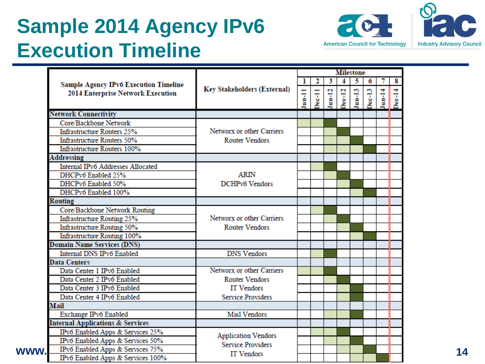## **Sample 2014 Agency IPv6 Execution Timeline**



|                                                 |                                               |                |                  |         | <b>Milestone</b> |          |          |          |          |
|-------------------------------------------------|-----------------------------------------------|----------------|------------------|---------|------------------|----------|----------|----------|----------|
| <b>Sample Agency IPv6 Execution Timeline</b>    |                                               | ı              | $\boldsymbol{2}$ | 3       | 4                | 5        | 6        |          | 8        |
| 2014 Enterprise Network Execution               | <b>Key Stakeholders (External)</b>            | $\frac{11}{2}$ | $\alpha$ -11     | $um-12$ | $\alpha$ -12     | $u - 13$ | $Dec-13$ | $tan-14$ | $Dec-14$ |
| <b>Network Connectivity</b>                     |                                               |                |                  |         |                  |          |          |          |          |
| Core/Backbone Network                           |                                               |                |                  |         |                  |          |          |          |          |
| Infrastructure Routers 25%                      | Networx or other Carriers                     |                |                  |         |                  |          |          |          |          |
| Infrastructure Routers 50%                      | <b>Router Vendors</b>                         |                |                  |         |                  |          |          |          |          |
| <b>Infrastructure Routers 100%</b>              |                                               |                |                  |         |                  |          |          |          |          |
| <b>Addressing</b>                               |                                               |                |                  |         |                  |          |          |          |          |
| Internal IPv6 Addresses Allocated               |                                               |                |                  |         |                  |          |          |          |          |
| DHCPv6 Enabled 25%                              | ARIN                                          |                |                  |         |                  |          |          |          |          |
| DHCPv6 Enabled 50%                              | DCHPv6 Vendors                                |                |                  |         |                  |          |          |          |          |
| DHCPv6 Enabled 100%                             |                                               |                |                  |         |                  |          |          |          |          |
| Routing                                         |                                               |                |                  |         |                  |          |          |          |          |
| Core/Backbone Network Routing                   |                                               |                |                  |         |                  |          |          |          |          |
| <b>Infrastructure Routing 25%</b>               | Networx or other Carriers                     |                |                  |         |                  |          |          |          |          |
| Infrastructure Routing 50%                      | <b>Router Vendors</b>                         |                |                  |         |                  |          |          |          |          |
| <b>Infrastructure Routing 100%</b>              |                                               |                |                  |         |                  |          |          |          |          |
| <b>Domain Name Services (DNS)</b>               |                                               |                |                  |         |                  |          |          |          |          |
| Internal DNS IPv6 Enabled                       | <b>DNS Vendors</b>                            |                |                  |         |                  |          |          |          |          |
| <b>Data Centers</b>                             |                                               |                |                  |         |                  |          |          |          |          |
| Data Center 1 IPv6 Enabled                      | Networx or other Carriers                     |                |                  |         |                  |          |          |          |          |
| Data Center 2 IPv6 Enabled                      | <b>Router Vendors</b>                         |                |                  |         |                  |          |          |          |          |
| Data Center 3 IPv6 Enabled                      | <b>IT Vendors</b>                             |                |                  |         |                  |          |          |          |          |
| Data Center 4 IPv6 Enabled                      | <b>Service Providers</b>                      |                |                  |         |                  |          |          |          |          |
| Mail                                            |                                               |                |                  |         |                  |          |          |          |          |
| Exchange IPv6 Enabled                           | <b>Mail Vendors</b>                           |                |                  |         |                  |          |          |          |          |
| <b>Internal Applications &amp; Services</b>     |                                               |                |                  |         |                  |          |          |          |          |
| IPv6 Enabled Apps & Services 25%                | <b>Application Vendors</b>                    |                |                  |         |                  |          |          |          |          |
| IPv6 Enabled Apps & Services 50%                |                                               |                |                  |         |                  |          |          |          |          |
| IPv6 Enabled Apps & Services 75%<br><b>WWW.</b> | <b>Service Providers</b><br><b>IT Vendors</b> |                |                  |         |                  |          |          |          |          |
| IPv6 Enabled Apps & Services 100%               |                                               |                |                  |         |                  |          |          |          |          |

**14**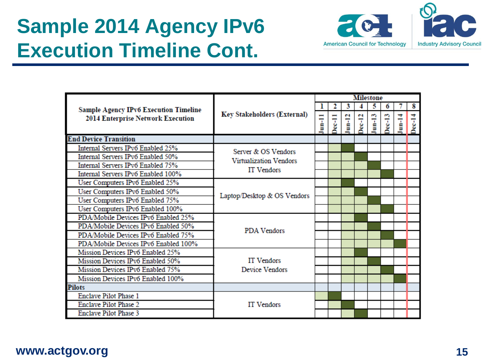## **Sample 2014 Agency IPv6 Execution Timeline Cont.**



|                                              |                                    |          | <b>Milestone</b> |         |          |          |       |        |          |  |  |  |
|----------------------------------------------|------------------------------------|----------|------------------|---------|----------|----------|-------|--------|----------|--|--|--|
| <b>Sample Agency IPv6 Execution Timeline</b> |                                    |          |                  | 3       |          | 5        |       |        | 8        |  |  |  |
| <b>2014 Enterprise Network Execution</b>     | <b>Key Stakeholders (External)</b> | T<br>Pum | $Dec-11$         | $um-12$ | $Dec-12$ | $u - 13$ | ec-13 | $m-14$ | $Dec-14$ |  |  |  |
| <b>End Device Transition</b>                 |                                    |          |                  |         |          |          |       |        |          |  |  |  |
| Internal Servers IPv6 Enabled 25%            | Server & OS Vendors                |          |                  |         |          |          |       |        |          |  |  |  |
| Internal Servers IPv6 Enabled 50%            | <b>Virtualization Vendors</b>      |          |                  |         |          |          |       |        |          |  |  |  |
| Internal Servers IPv6 Enabled 75%            | <b>IT Vendors</b>                  |          |                  |         |          |          |       |        |          |  |  |  |
| Internal Servers IPv6 Enabled 100%           |                                    |          |                  |         |          |          |       |        |          |  |  |  |
| User Computers IPv6 Enabled 25%              |                                    |          |                  |         |          |          |       |        |          |  |  |  |
| User Computers IPv6 Enabled 50%              | Laptop/Desktop & OS Vendors        |          |                  |         |          |          |       |        |          |  |  |  |
| User Computers IPv6 Enabled 75%              |                                    |          |                  |         |          |          |       |        |          |  |  |  |
| User Computers IPv6 Enabled 100%             |                                    |          |                  |         |          |          |       |        |          |  |  |  |
| PDA/Mobile Devices IPv6 Enabled 25%          |                                    |          |                  |         |          |          |       |        |          |  |  |  |
| PDA/Mobile Devices IPv6 Enabled 50%          | <b>PDA Vendors</b>                 |          |                  |         |          |          |       |        |          |  |  |  |
| PDA/Mobile Devices IPv6 Enabled 75%          |                                    |          |                  |         |          |          |       |        |          |  |  |  |
| PDA/Mobile Devices IPv6 Enabled 100%         |                                    |          |                  |         |          |          |       |        |          |  |  |  |
| Mission Devices IPv6 Enabled 25%             |                                    |          |                  |         |          |          |       |        |          |  |  |  |
| Mission Devices IPv6 Enabled 50%             | <b>IT Vendors</b>                  |          |                  |         |          |          |       |        |          |  |  |  |
| Mission Devices IPv6 Enabled 75%             | <b>Device Vendors</b>              |          |                  |         |          |          |       |        |          |  |  |  |
| Mission Devices IPv6 Enabled 100%            |                                    |          |                  |         |          |          |       |        |          |  |  |  |
| <b>Pilots</b>                                |                                    |          |                  |         |          |          |       |        |          |  |  |  |
| Enclave Pilot Phase 1                        |                                    |          |                  |         |          |          |       |        |          |  |  |  |
| <b>Enclave Pilot Phase 2</b>                 | <b>IT Vendors</b>                  |          |                  |         |          |          |       |        |          |  |  |  |
| Enclave Pilot Phase 3                        |                                    |          |                  |         |          |          |       |        |          |  |  |  |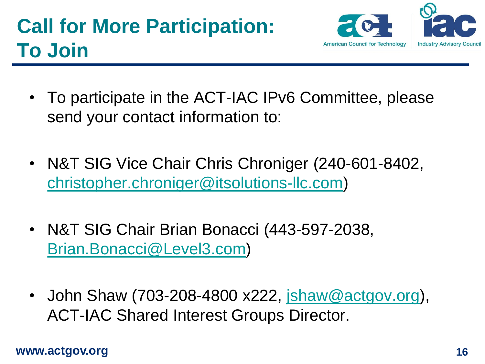

- To participate in the ACT-IAC IPv6 Committee, please send your contact information to:
- N&T SIG Vice Chair Chris Chroniger (240-601-8402, [christopher.chroniger@itsolutions-llc.com\)](mailto:christopher.chroniger@itsolutions-llc.com)
- N&T SIG Chair Brian Bonacci (443-597-2038, [Brian.Bonacci@Level3.com](mailto:Brian.Bonacci@Level3.com))
- John Shaw (703-208-4800 x222, [jshaw@actgov.org](mailto:jshaw@actgov.org)), ACT-IAC Shared Interest Groups Director.